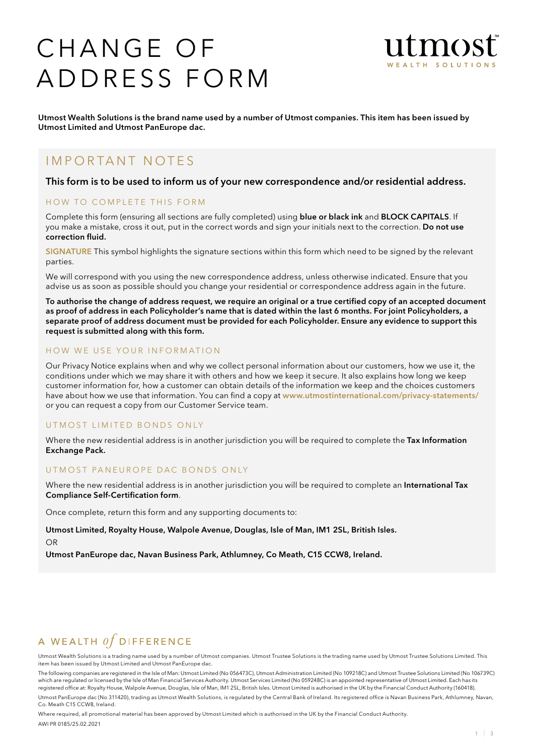# CHANGE OF ADDRESS FORM



Utmost Wealth Solutions is the brand name used by a number of Utmost companies. This item has been issued by Utmost Limited and Utmost PanEurope dac.

# IMPORTANT NOTES

#### This form is to be used to inform us of your new correspondence and/or residential address.

#### HOW TO COMPLETE THIS FORM

Complete this form (ensuring all sections are fully completed) using blue or black ink and BLOCK CAPITALS. If you make a mistake, cross it out, put in the correct words and sign your initials next to the correction. Do not use correction fluid.

SIGNATURE This symbol highlights the signature sections within this form which need to be signed by the relevant parties.

We will correspond with you using the new correspondence address, unless otherwise indicated. Ensure that you advise us as soon as possible should you change your residential or correspondence address again in the future.

To authorise the change of address request, we require an original or a true certified copy of an accepted document as proof of address in each Policyholder's name that is dated within the last 6 months. For joint Policyholders, a separate proof of address document must be provided for each Policyholder. Ensure any evidence to support this request is submitted along with this form.

#### HOW WE USE YOUR INFORMATION

Our Privacy Notice explains when and why we collect personal information about our customers, how we use it, the conditions under which we may share it with others and how we keep it secure. It also explains how long we keep customer information for, how a customer can obtain details of the information we keep and the choices customers have about how we use that information. You can find a copy at www.utmostinternational.com/privacy-statements/ or you can request a copy from our Customer Service team.

### UTMOST LIMITED BONDS ONLY

Where the new residential address is in another jurisdiction you will be required to complete the Tax Information Exchange Pack.

#### UTMOST PANEUROPE DAC BONDS ONLY

Where the new residential address is in another jurisdiction you will be required to complete an International Tax Compliance Self-Certification form.

Once complete, return this form and any supporting documents to:

#### Utmost Limited, Royalty House, Walpole Avenue, Douglas, Isle of Man, IM1 2SL, British Isles. OR

Utmost PanEurope dac, Navan Business Park, Athlumney, Co Meath, C15 CCW8, Ireland.

# A WEALTH  $of$  DIFFERENCE

Utmost Wealth Solutions is a trading name used by a number of Utmost companies. Utmost Trustee Solutions is the trading name used by Utmost Trustee Solutions Limited. This item has been issued by Utmost Limited and Utmost PanEurope dac.

The following companies are registered in the Isle of Man: Utmost Limited (No 056473C), Utmost Administration Limited (No 109218C) and Utmost Trustee Solutions Limited (No 106739C) which are regulated or licensed by the Isle of Man Financial Services Authority. Utmost Services Limited (No 059248C) is an appointed representative of Utmost Limited. Each has its<br>registered office at: Royalty House, Walp Utmost PanEurope dac (No 311420), trading as Utmost Wealth Solutions, is regulated by the Central Bank of Ireland. Its registered office is Navan Business Park, Athlumney, Navan, Co. Meath C15 CCW8, Ireland.

Where required, all promotional material has been approved by Utmost Limited which is authorised in the UK by the Financial Conduct Authority. AWI PR 0185/25.02.2021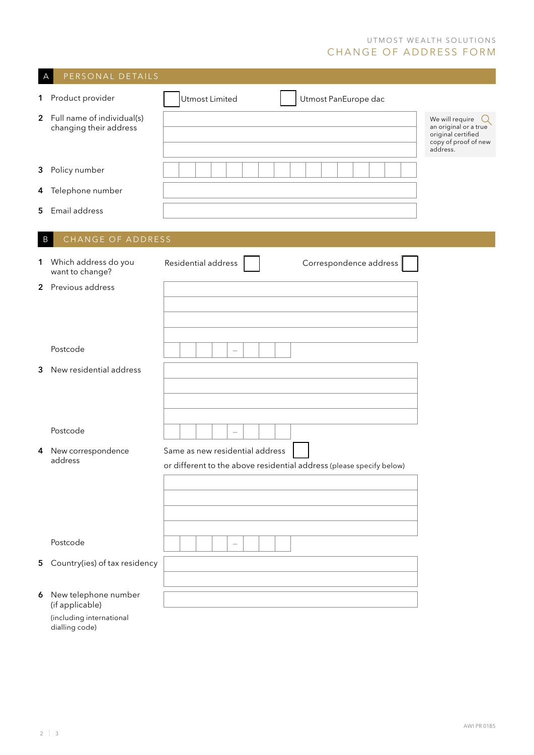## UTMOST WEALTH SOLUTIONS CHANGE OF ADDRESS FORM

|                                  | PERSONAL DETAILS                                       |                                                                                                         |                                               |  |  |
|----------------------------------|--------------------------------------------------------|---------------------------------------------------------------------------------------------------------|-----------------------------------------------|--|--|
| 1                                | Product provider                                       | Utmost Limited<br>Utmost PanEurope dac                                                                  |                                               |  |  |
|                                  | 2 Full name of individual(s)<br>changing their address | We will require<br>original certified<br>address.                                                       | an original or a true<br>copy of proof of new |  |  |
|                                  | 3 Policy number                                        |                                                                                                         |                                               |  |  |
| 4                                | Telephone number                                       |                                                                                                         |                                               |  |  |
| 5                                | Email address                                          |                                                                                                         |                                               |  |  |
| CHANGE OF ADDRESS<br>$\mathsf B$ |                                                        |                                                                                                         |                                               |  |  |
|                                  | 1 Which address do you<br>want to change?              | Residential address<br>Correspondence address                                                           |                                               |  |  |
| $\mathbf{2}$                     | Previous address                                       |                                                                                                         |                                               |  |  |
|                                  | Postcode                                               |                                                                                                         |                                               |  |  |
|                                  |                                                        | $\qquad \qquad -$                                                                                       |                                               |  |  |
| 3                                | New residential address                                |                                                                                                         |                                               |  |  |
|                                  | Postcode                                               | $\overline{\phantom{m}}$                                                                                |                                               |  |  |
| 4                                | New correspondence<br>address                          | Same as new residential address<br>or different to the above residential address (please specify below) |                                               |  |  |
|                                  |                                                        |                                                                                                         |                                               |  |  |
|                                  |                                                        |                                                                                                         |                                               |  |  |
|                                  | Postcode                                               |                                                                                                         |                                               |  |  |
| 5                                | Country(ies) of tax residency                          | $\qquad \qquad -$                                                                                       |                                               |  |  |
|                                  |                                                        |                                                                                                         |                                               |  |  |
| 6                                | New telephone number<br>(if applicable)                |                                                                                                         |                                               |  |  |
|                                  | (including international<br>dialling code)             |                                                                                                         |                                               |  |  |